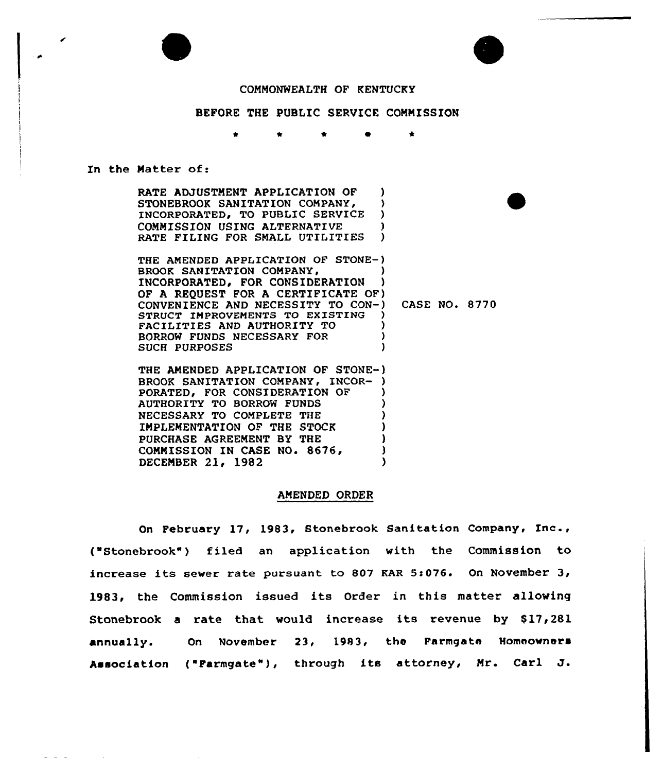## COMMONWEALTH OF KENTUCKY

### BEFORE THE PUBLIC SERVICE COMMISSION

 $\bullet$  $\bullet$ 

#### In the Matter of:

RATE ADJUSTMENT APPLICATION OF )<br>STONEBROOK SANITATION COMPANY. STONEBROOK SANITATION COMPANY, )<br>INCORPORATED, TO PUBLIC SERVICE ) INCORPORATED, TO PUBLIC SERVICE COMMISSION USING ALTERNATIVE )<br>RATE FILING FOR SMALL UTILITIES RATE FILING FOR SMALL UTILITIES

THE AMENDED APPLICATION OF STONE-) BROOK SANITATION COMPANY, (3) INCORPORATED, FOR CONSIDERATION OF A REQUEST FOR A CERTIFICATE OF) CONVENIENCE AND NECESSITY TO CON-) STRUCT IMPROVEMENTS TO EXISTING FACILITIES AND AUTHORITY TO ) BORROW FUNDS NECESSARY FOR <sup>3</sup> SUCH PURPOSES CASE NO. 8770

THE AMENDED APPLICATION OF STONE-) BROOK SANITATION COMPANY, INCOR-PORATED, FOR CONSIDERATION OF AUTHORITY TO BORROW FUNDS ) NECESSARY TO COMPLETE THE ) IMPLEMENTATION OF THE STOCK ) PURCHASE AGREEMENT BY THE COMMISSION IN CASE NO. 8676, DECEMBER 21, 1982

#### AMENDED ORDER

On February 17, 1983, Stonebrook Sanitation Company, Inc., ("Stonebrook"} filed an application with the Commission to increase its sewer rate pursuant to 807 KAR 5:076. On November 3, 1983, the Commission issued its Order in this matter allowing Stonebrook a rate that would increase its revenue by \$17,281 annually. On November 23, 1983, the Farmgate Homeowner Association ("Farmgate"3, through its attorney, Mr. Carl J.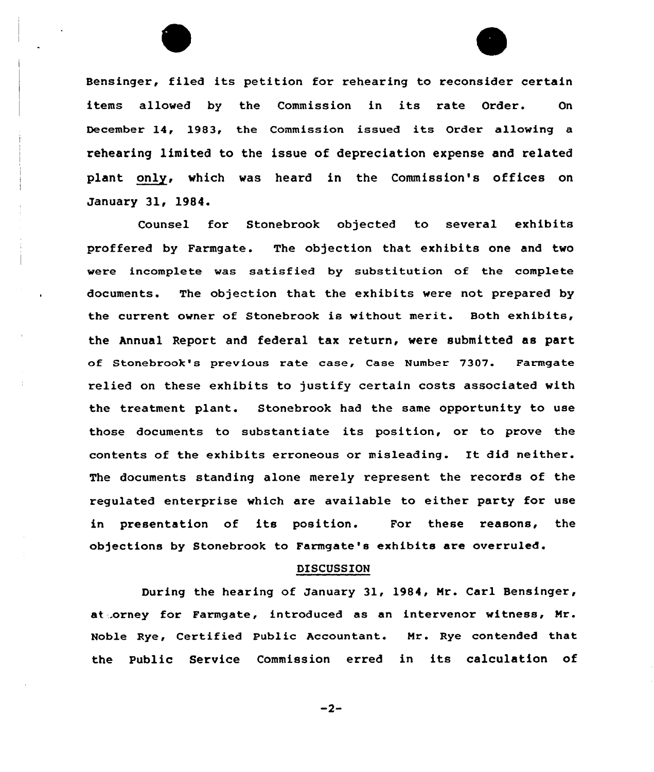Bensinger, filed its petition for rehearing to reconsider certain items allowed by the Commission in its rate Order. On December 14, 1983, the Commission issued its Order allowing a rehearing limited to the issue of depreciation expense and related plant only, which was heard in the Commission's offices on January 31, 1984.

Counsel for Stonebrook objected to several exhibits proffered by Farmgate. The objection that exhibits one and two were incomplete was satisfied by substitution of the complete documents. The objection that the exhibits were not prepared by the current owner of Stonebrook is without merit. Both exhibits, the Annual Report and federal tax return, were submitted as part of Stonebrook's previous rate case, Case Number 7307. Farmgate relied on these exhibits to justify cextain costs associated with the treatment plant. Stonebrook had the same opportunity to use those documents to substantiate its position, or to prove the contents of the exhibits erroneous or misleading. It did neither. The documents standing alone merely represent the records of the regulated enterprise which are available to either party for use in presentation of its position. For these reasons, the objections by Stonebrook to Farmgate's exhibits are overruled.

### DISCUSSION

During the hearing of January 31, 1984, Mr. Carl Bensinger, at .orney for Farmgate, introduced as an intervenor witness, Mr. Noble Rye, Certified Public Accountant. Mr. Rye contended that the Public Service Commission erred in its calculation of

 $-2-$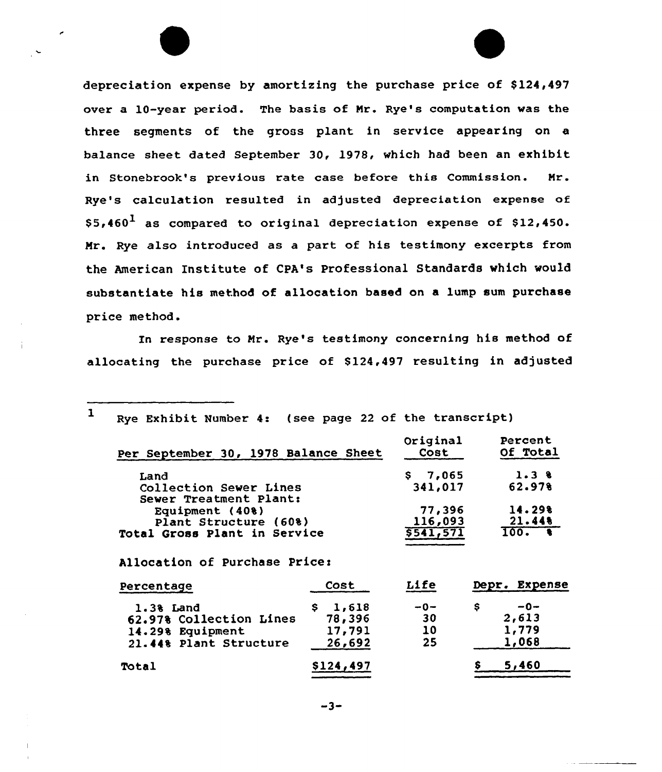depreciation expense by amortizing the purchase price of \$124,497 over a 10-year period. The basis of Mr. Rye's computation was the three segments of the gross plant in service appearing on a balance sheet. dated September 30, 1978, which had been an exhibit in Stonebrook's previous rate case before this Commission. Mr. Rye's calculation resulted in adjusted depreciation expense of  $$5,460<sup>1</sup>$  as compared to original depreciation expense of \$12,450. Mr. Rye also introduced as a part of his testimony excerpts from the American Institute of CPA's Professional Standards which would substantiate his method of allocation based on a lump sum purchase price method.

In response to Mr. Rye's testimony concerning his method of allocating the purchase price of 8124,497 resulting in adjusted

| Per September 30, 1978 Balance Sheet | Original                                                                                                                                                              | Percent       |
|--------------------------------------|-----------------------------------------------------------------------------------------------------------------------------------------------------------------------|---------------|
|                                      | Cost                                                                                                                                                                  | Of Total      |
|                                      | \$7,065                                                                                                                                                               | $1.3$ 8       |
|                                      | 341,017                                                                                                                                                               | 62.978        |
|                                      |                                                                                                                                                                       | 14.29%        |
|                                      | 116,093                                                                                                                                                               | 21.44         |
|                                      | 5541,571                                                                                                                                                              | 100.          |
|                                      |                                                                                                                                                                       |               |
| Cost                                 | Life                                                                                                                                                                  | Depr. Expense |
| \$1,618                              | $-0-$                                                                                                                                                                 | \$.<br>$-0-$  |
| 78,396                               | 30                                                                                                                                                                    | 2,613         |
| 17,791                               | 10                                                                                                                                                                    | 1,779         |
| 26,692                               | 25                                                                                                                                                                    | 1,068         |
| \$124,497                            |                                                                                                                                                                       | 5,460         |
|                                      | Collection Sewer Lines<br>Sewer Treatment Plant:<br>Plant Structure (60%)<br>Total Gross Plant in Service<br>Allocation of Purchase Price:<br>62.97% Collection Lines | 77,396        |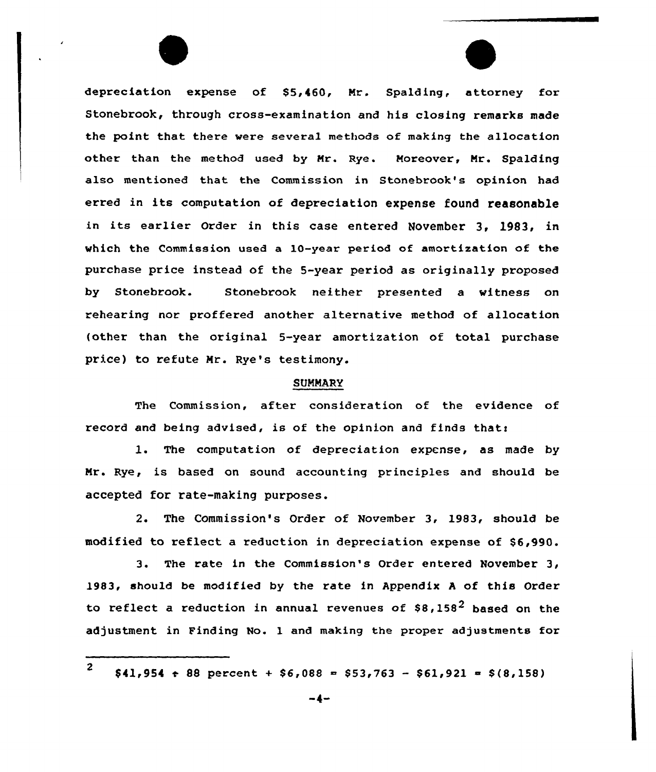depreciation expense of \$5,460, Mr. Spalding, attorney for Stonebrook, through cross-examination and his closing remarks made the point that there were several methods of making the allocation other than the method used by Mr. Rye. Moreover, Mr. Spalding also mentioned that the Commission in Stonebrook's opinion had erred in its computation of depreciation expense found reasonable in its earlier Order in this case entered November 3, 1983, in which the Commission used a 10-year period of amortization of the purchase price instead of the 5-year period as originally pxoposed by Stonebrook. Stonebrook neithex presented a witness on rehearing nor proffered another alternative method of allocation (other than the original 5-year amortization of total purchase price) to xefute Mr. Rye's testimony.

### **SUMMARY**

The Commission, after considexation of the evidence of record and being advised, is of the opinion and finds that:

l. The computation of depreciation expense, as made by Mr. Rye, is based on sound accounting principles and should be accepted fox rate-making purposes.

2. The Commission's Order of November 3, 1983, should be modified to reflect a reduction in depreciation expense of \$6,990.

3. The rate in the Commission's Order entered November 3, 1983, should be modified by the rate in Appendix <sup>A</sup> of this Order to reflect a reduction in annual revenues of  $$8,158^2$  based on the adjustment in Finding No. 1 and making the proper adjustments for

<sup>2</sup>  $$41,954 \div 88$  percent +  $$6,088 = $53,763 - $61,921 = $(8,158)$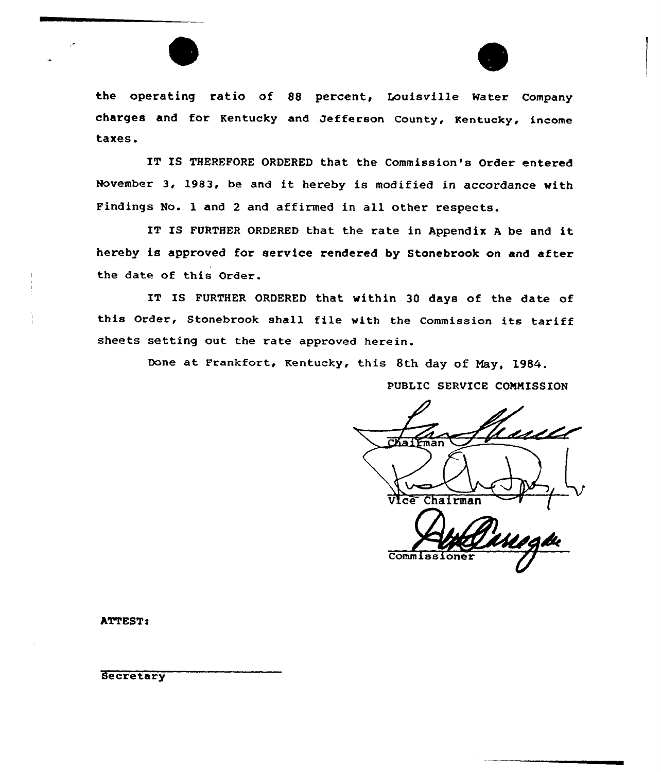



the operating ratio of 88 percent, Louisville Water Company charges and for Kentucky and Jefferson County, Kentucky, income taxes.

IT IS THEREFORE ORDERED that the Commission's Order entered November 3, 1983, be and it hereby is modified in accordance with Findings No. 1 and <sup>2</sup> and affirmed in all other respects.

IT IS FURTHER ORDERED that the rate in Appendix A be and it hereby is approved for service rendered by Stonebrook on and after the date of this Order.

IT IS FURTHER ORDERED that within 30 days of the date of this Order, Stonebrook shall file with the Commission its tariff sheets setting out the rate approved herein.

Done at Frankfort, Kentucky, this 8th day of May, 1984.

PUBLIC SERVICE COMMISSION

 $\overline{CKa}$  $\overrightarrow{r}$ Vfce Chairman (

Commiss:

ATTEST:

**Secretary**